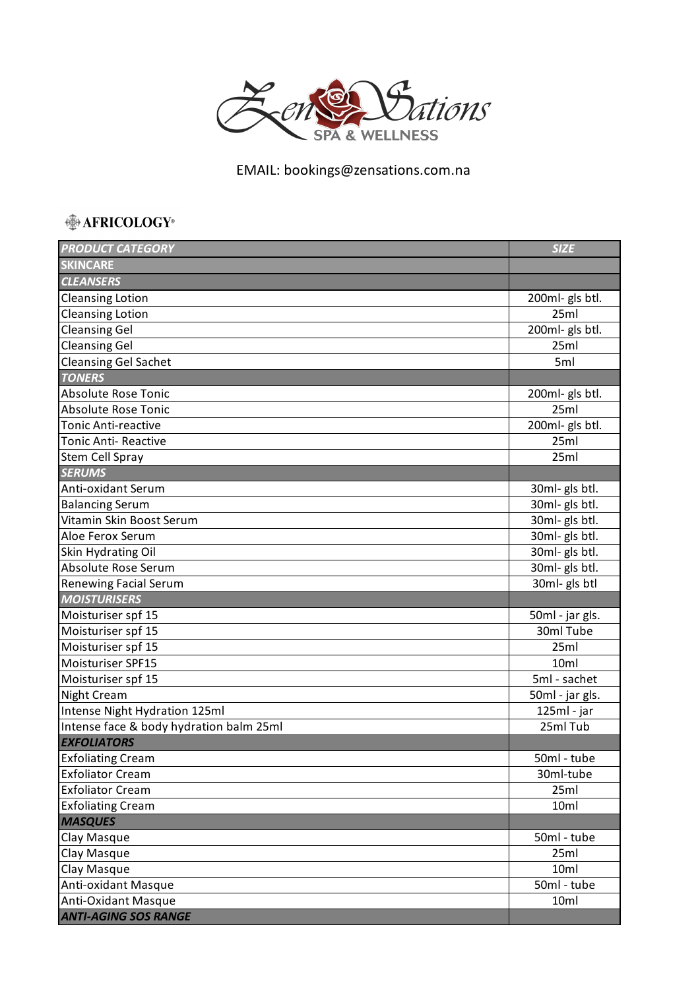

EMAIL: bookings@zensations.com.na

## **AFRICOLOGY**®

| <b>PRODUCT CATEGORY</b>                 | <b>SIZE</b>      |
|-----------------------------------------|------------------|
| <b>SKINCARE</b>                         |                  |
| <b>CLEANSERS</b>                        |                  |
| <b>Cleansing Lotion</b>                 | 200ml- gls btl.  |
| <b>Cleansing Lotion</b>                 | 25ml             |
| <b>Cleansing Gel</b>                    | 200ml- gls btl.  |
| <b>Cleansing Gel</b>                    | 25ml             |
| <b>Cleansing Gel Sachet</b>             | 5ml              |
| <b>TONERS</b>                           |                  |
| <b>Absolute Rose Tonic</b>              | 200ml- gls btl.  |
| <b>Absolute Rose Tonic</b>              | 25ml             |
| <b>Tonic Anti-reactive</b>              | 200ml- gls btl.  |
| <b>Tonic Anti- Reactive</b>             | 25ml             |
| Stem Cell Spray                         | 25ml             |
| <b>SERUMS</b>                           |                  |
| Anti-oxidant Serum                      | 30ml- gls btl.   |
| <b>Balancing Serum</b>                  | 30ml- gls btl.   |
| Vitamin Skin Boost Serum                | 30ml- gls btl.   |
| Aloe Ferox Serum                        | 30ml- gls btl.   |
| Skin Hydrating Oil                      | 30ml- gls btl.   |
| Absolute Rose Serum                     | 30ml- gls btl.   |
| <b>Renewing Facial Serum</b>            | 30ml- gls btl    |
| <b>MOISTURISERS</b>                     |                  |
| Moisturiser spf 15                      | 50ml - jar gls.  |
| Moisturiser spf 15                      | 30ml Tube        |
| Moisturiser spf 15                      | 25ml             |
| Moisturiser SPF15                       | 10 <sub>ml</sub> |
| Moisturiser spf 15                      | 5ml - sachet     |
| <b>Night Cream</b>                      | 50ml - jar gls.  |
| Intense Night Hydration 125ml           | 125ml - jar      |
| Intense face & body hydration balm 25ml | 25ml Tub         |
| <b>EXFOLIATORS</b>                      |                  |
| <b>Exfoliating Cream</b>                | 50ml - tube      |
| <b>Exfoliator Cream</b>                 | 30ml-tube        |
| <b>Exfoliator Cream</b>                 | 25ml             |
| <b>Exfoliating Cream</b>                | 10ml             |
| <b>MASQUES</b>                          |                  |
| Clay Masque                             | 50ml - tube      |
| Clay Masque                             | 25ml             |
| Clay Masque                             | 10ml             |
| Anti-oxidant Masque                     | 50ml - tube      |
| Anti-Oxidant Masque                     | 10ml             |
| <b>ANTI-AGING SOS RANGE</b>             |                  |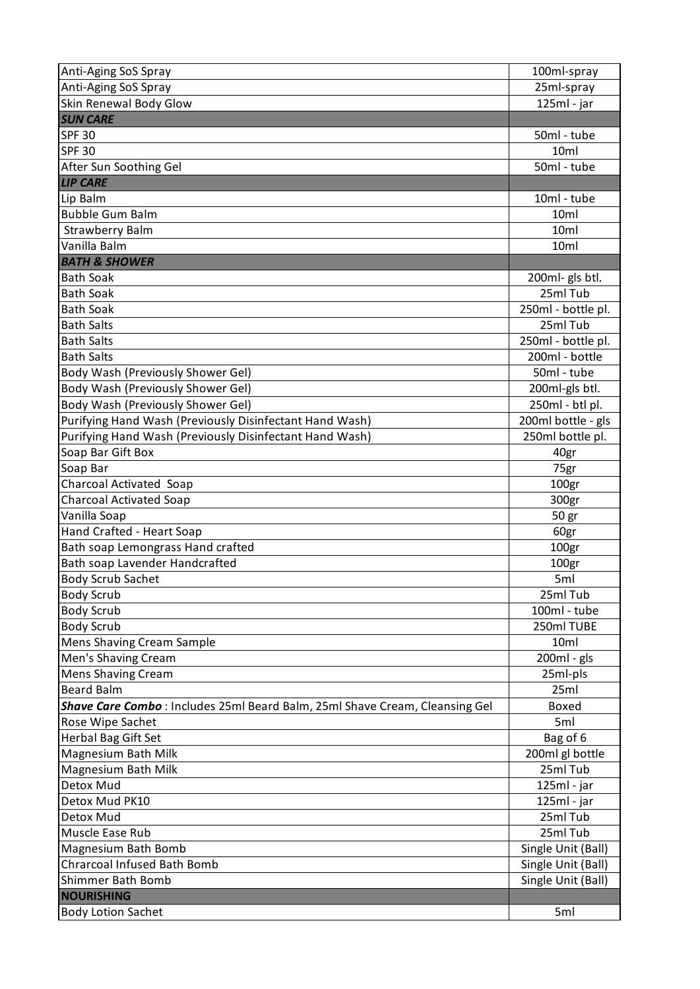| Anti-Aging SoS Spray                                                        | 100ml-spray        |
|-----------------------------------------------------------------------------|--------------------|
| Anti-Aging SoS Spray                                                        | 25ml-spray         |
| Skin Renewal Body Glow                                                      | 125ml - jar        |
| <b>SUN CARE</b>                                                             |                    |
| <b>SPF 30</b>                                                               | 50ml - tube        |
| <b>SPF 30</b>                                                               | 10 <sub>ml</sub>   |
| After Sun Soothing Gel                                                      | 50ml - tube        |
| <b>LIP CARE</b>                                                             |                    |
| Lip Balm                                                                    | 10ml - tube        |
| <b>Bubble Gum Balm</b>                                                      | 10 <sub>ml</sub>   |
| <b>Strawberry Balm</b>                                                      | 10ml               |
| Vanilla Balm                                                                | 10ml               |
| <b>BATH &amp; SHOWER</b>                                                    |                    |
| <b>Bath Soak</b>                                                            | 200ml- gls btl.    |
| <b>Bath Soak</b>                                                            | 25ml Tub           |
| <b>Bath Soak</b>                                                            | 250ml - bottle pl. |
| <b>Bath Salts</b>                                                           | 25ml Tub           |
| <b>Bath Salts</b>                                                           | 250ml - bottle pl. |
| <b>Bath Salts</b>                                                           | 200ml - bottle     |
| Body Wash (Previously Shower Gel)                                           | 50ml - tube        |
| Body Wash (Previously Shower Gel)                                           | 200ml-gls btl.     |
| Body Wash (Previously Shower Gel)                                           | 250ml - btl pl.    |
| Purifying Hand Wash (Previously Disinfectant Hand Wash)                     | 200ml bottle - gls |
| Purifying Hand Wash (Previously Disinfectant Hand Wash)                     | 250ml bottle pl.   |
| Soap Bar Gift Box                                                           | 40gr               |
| Soap Bar                                                                    | 75gr               |
| <b>Charcoal Activated Soap</b>                                              | 100gr              |
| <b>Charcoal Activated Soap</b>                                              | 300gr              |
| Vanilla Soap                                                                | 50 gr              |
| Hand Crafted - Heart Soap                                                   | 60gr               |
| Bath soap Lemongrass Hand crafted                                           | 100 <sub>gr</sub>  |
| Bath soap Lavender Handcrafted                                              | 100gr              |
| <b>Body Scrub Sachet</b>                                                    | 5ml                |
| <b>Body Scrub</b>                                                           | 25ml Tub           |
| <b>Body Scrub</b>                                                           | 100ml - tube       |
| <b>Body Scrub</b>                                                           | 250ml TUBE         |
| <b>Mens Shaving Cream Sample</b>                                            | 10 <sub>ml</sub>   |
| Men's Shaving Cream                                                         | 200ml - gls        |
| <b>Mens Shaving Cream</b>                                                   | 25ml-pls           |
| <b>Beard Balm</b>                                                           | 25ml               |
| Shave Care Combo: Includes 25ml Beard Balm, 25ml Shave Cream, Cleansing Gel | Boxed              |
| Rose Wipe Sachet                                                            | 5ml                |
| Herbal Bag Gift Set                                                         | Bag of 6           |
| Magnesium Bath Milk                                                         | 200ml gl bottle    |
| Magnesium Bath Milk                                                         | 25ml Tub           |
| Detox Mud                                                                   | $125ml - jar$      |
| Detox Mud PK10                                                              | 125ml - jar        |
| Detox Mud                                                                   | 25ml Tub           |
| Muscle Ease Rub                                                             | 25ml Tub           |
| Magnesium Bath Bomb                                                         | Single Unit (Ball) |
| <b>Chrarcoal Infused Bath Bomb</b>                                          | Single Unit (Ball) |
| Shimmer Bath Bomb                                                           | Single Unit (Ball) |
| <b>NOURISHING</b>                                                           |                    |
| <b>Body Lotion Sachet</b>                                                   | 5ml                |
|                                                                             |                    |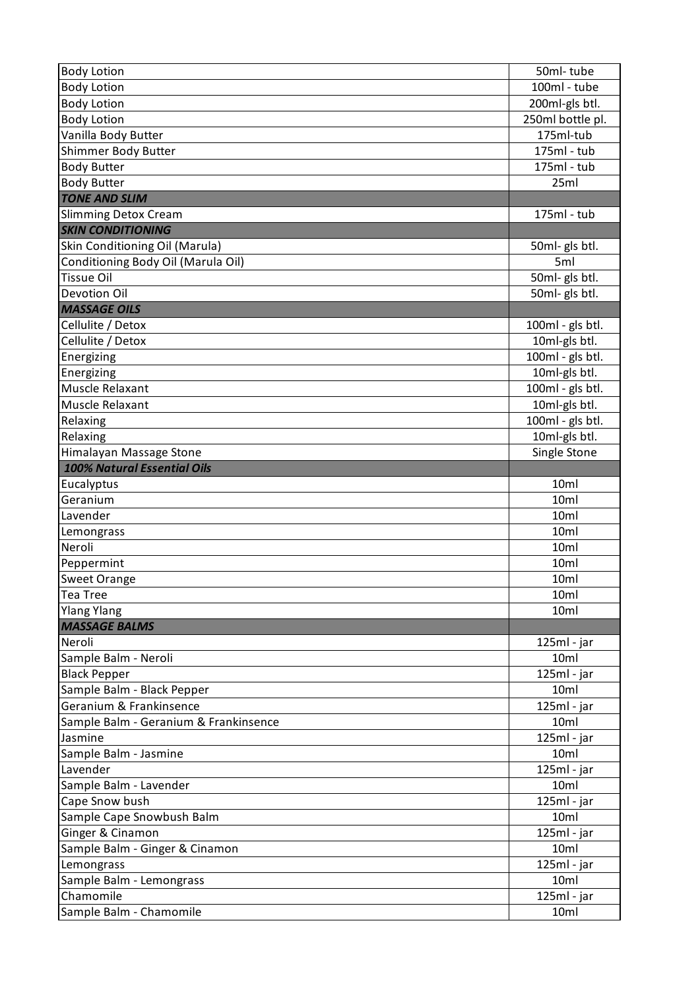| <b>Body Lotion</b>                    | 50ml-tube             |
|---------------------------------------|-----------------------|
| <b>Body Lotion</b>                    | 100ml - tube          |
| <b>Body Lotion</b>                    | 200ml-gls btl.        |
| <b>Body Lotion</b>                    | 250ml bottle pl.      |
| Vanilla Body Butter                   | 175ml-tub             |
| Shimmer Body Butter                   | 175ml - tub           |
| <b>Body Butter</b>                    | 175ml - tub           |
| <b>Body Butter</b>                    | 25ml                  |
| <b>TONE AND SLIM</b>                  |                       |
| <b>Slimming Detox Cream</b>           | 175ml - tub           |
| <b>SKIN CONDITIONING</b>              |                       |
| Skin Conditioning Oil (Marula)        | 50ml- gls btl.        |
| Conditioning Body Oil (Marula Oil)    | 5ml                   |
| <b>Tissue Oil</b>                     | 50ml- gls btl.        |
| Devotion Oil                          | 50ml- gls btl.        |
| <b>MASSAGE OILS</b>                   |                       |
| Cellulite / Detox                     | 100ml - gls btl.      |
| Cellulite / Detox                     | 10ml-gls btl.         |
| Energizing                            | $100ml - gls btl.$    |
| Energizing                            | 10ml-gls btl.         |
| Muscle Relaxant                       | 100ml - gls btl.      |
| Muscle Relaxant                       | 10ml-gls btl.         |
| Relaxing                              | $100ml - gls btl.$    |
| Relaxing                              | 10ml-gls btl.         |
| Himalayan Massage Stone               | Single Stone          |
| <b>100% Natural Essential Oils</b>    |                       |
| Eucalyptus                            | 10ml                  |
| Geranium                              | 10ml                  |
| Lavender                              | 10ml                  |
| Lemongrass                            | 10ml                  |
| Neroli                                | 10ml                  |
| Peppermint                            | 10ml                  |
| <b>Sweet Orange</b>                   | 10ml                  |
| Tea Tree                              | 10ml                  |
| <b>Ylang Ylang</b>                    | 10ml                  |
| <b>MASSAGE BALMS</b>                  |                       |
| Neroli                                | 125ml - jar           |
| Sample Balm - Neroli                  | 10ml                  |
| <b>Black Pepper</b>                   | 125ml - jar           |
| Sample Balm - Black Pepper            | 10ml                  |
| Geranium & Frankinsence               | 125ml - jar           |
| Sample Balm - Geranium & Frankinsence | 10ml                  |
| Jasmine                               | $125ml - jar$         |
| Sample Balm - Jasmine                 | 10ml                  |
| Lavender                              | $125ml - jar$         |
| Sample Balm - Lavender                | 10ml                  |
| Cape Snow bush                        | 125ml - jar           |
| Sample Cape Snowbush Balm             | 10ml                  |
| Ginger & Cinamon                      | $125ml - jar$         |
| Sample Balm - Ginger & Cinamon        | 10ml                  |
| Lemongrass                            | $125ml - jar$<br>10ml |
| Sample Balm - Lemongrass<br>Chamomile | 125ml - jar           |
|                                       | 10ml                  |
| Sample Balm - Chamomile               |                       |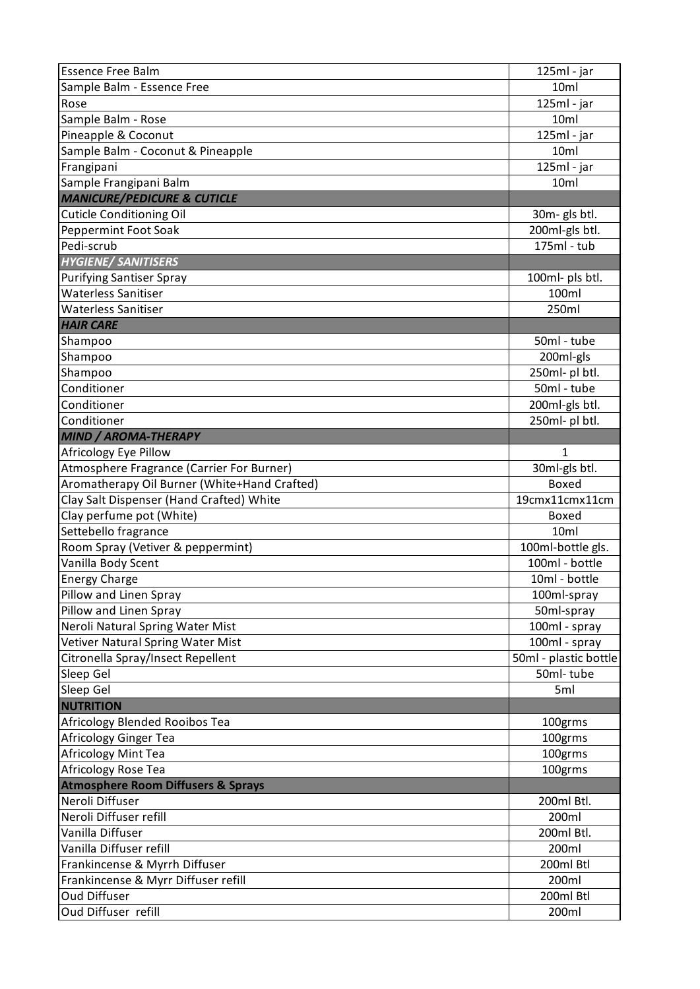| <b>Essence Free Balm</b>                      | 125ml - jar               |
|-----------------------------------------------|---------------------------|
| Sample Balm - Essence Free                    | 10 <sub>ml</sub>          |
| Rose                                          | $\overline{1}$ 25ml - jar |
| Sample Balm - Rose                            | 10 <sub>ml</sub>          |
| Pineapple & Coconut                           | 125ml - jar               |
| Sample Balm - Coconut & Pineapple             | 10 <sub>ml</sub>          |
| Frangipani                                    | 125ml - jar               |
| Sample Frangipani Balm                        | 10 <sub>ml</sub>          |
| <b>MANICURE/PEDICURE &amp; CUTICLE</b>        |                           |
| <b>Cuticle Conditioning Oil</b>               | 30m- gls btl.             |
| Peppermint Foot Soak                          | 200ml-gls btl.            |
| Pedi-scrub                                    | 175ml - tub               |
| <b>HYGIENE/ SANITISERS</b>                    |                           |
| <b>Purifying Santiser Spray</b>               | 100ml- pls btl.           |
| <b>Waterless Sanitiser</b>                    | 100ml                     |
| <b>Waterless Sanitiser</b>                    | 250ml                     |
| <b>HAIR CARE</b>                              |                           |
| Shampoo                                       | 50ml - tube               |
| Shampoo                                       | 200ml-gls                 |
| Shampoo                                       | 250ml- pl btl.            |
| Conditioner                                   | 50ml - tube               |
| Conditioner                                   | 200ml-gls btl.            |
| Conditioner                                   | 250ml- pl btl.            |
| <b>MIND / AROMA-THERAPY</b>                   |                           |
| Africology Eye Pillow                         | 1                         |
| Atmosphere Fragrance (Carrier For Burner)     | 30ml-gls btl.             |
| Aromatherapy Oil Burner (White+Hand Crafted)  | <b>Boxed</b>              |
| Clay Salt Dispenser (Hand Crafted) White      | 19cmx11cmx11cm            |
| Clay perfume pot (White)                      | Boxed                     |
| Settebello fragrance                          | 10 <sub>ml</sub>          |
| Room Spray (Vetiver & peppermint)             | 100ml-bottle gls.         |
| Vanilla Body Scent                            | 100ml - bottle            |
| <b>Energy Charge</b>                          | 10ml - bottle             |
| Pillow and Linen Spray                        | 100ml-spray               |
| Pillow and Linen Spray                        | 50ml-spray                |
| Neroli Natural Spring Water Mist              | 100ml - spray             |
| Vetiver Natural Spring Water Mist             | 100ml - spray             |
| Citronella Spray/Insect Repellent             | 50ml - plastic bottle     |
| Sleep Gel                                     | 50ml-tube                 |
| Sleep Gel                                     | 5ml                       |
| <b>NUTRITION</b>                              |                           |
| Africology Blended Rooibos Tea                | 100grms                   |
| Africology Ginger Tea                         | 100grms                   |
| Africology Mint Tea                           | 100grms                   |
| Africology Rose Tea                           | 100grms                   |
| <b>Atmosphere Room Diffusers &amp; Sprays</b> |                           |
| Neroli Diffuser                               | 200ml Btl.                |
| Neroli Diffuser refill                        | 200ml                     |
| Vanilla Diffuser                              | 200ml Btl.                |
| Vanilla Diffuser refill                       | 200ml                     |
| Frankincense & Myrrh Diffuser                 | 200ml Btl                 |
| Frankincense & Myrr Diffuser refill           | 200ml                     |
| <b>Oud Diffuser</b>                           | 200ml Btl                 |
| Oud Diffuser refill                           |                           |
|                                               | 200ml                     |